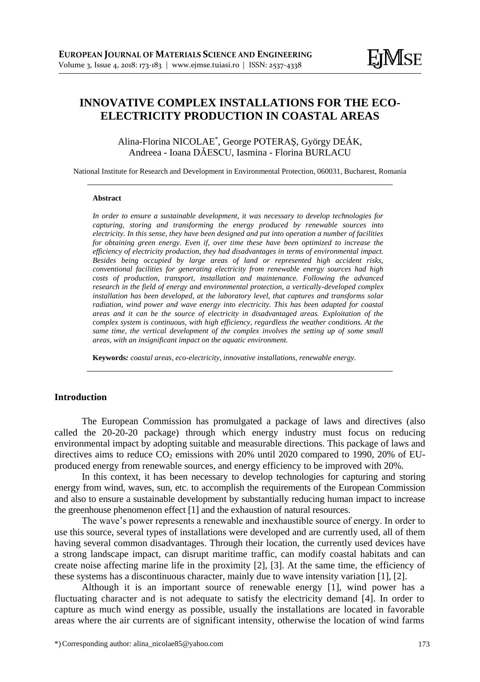# **INNOVATIVE COMPLEX INSTALLATIONS FOR THE ECO-ELECTRICITY PRODUCTION IN COASTAL AREAS**

Alina-Florina NICOLAE\* , George POTERAŞ, György DEÁK, Andreea - Ioana DĂESCU, Iasmina - Florina BURLACU

National Institute for Research and Development in Environmental Protection, 060031, Bucharest, Romania

#### **Abstract**

*In order to ensure a sustainable development, it was necessary to develop technologies for capturing, storing and transforming the energy produced by renewable sources into electricity. In this sense, they have been designed and put into operation a number of facilities for obtaining green energy. Even if, over time these have been optimized to increase the efficiency of electricity production, they had disadvantages in terms of environmental impact. Besides being occupied by large areas of land or represented high accident risks, conventional facilities for generating electricity from renewable energy sources had high costs of production, transport, installation and maintenance. Following the advanced research in the field of energy and environmental protection, a vertically-developed complex installation has been developed, at the laboratory level, that captures and transforms solar radiation, wind power and wave energy into electricity. This has been adapted for coastal areas and it can be the source of electricity in disadvantaged areas. Exploitation of the complex system is continuous, with high efficiency, regardless the weather conditions. At the same time, the vertical development of the complex involves the setting up of some small areas, with an insignificant impact on the aquatic environment.*

**Keywords***: coastal areas, eco-electricity, innovative installations, renewable energy.*

## **Introduction**

The European Commission has promulgated a package of laws and directives (also called the 20-20-20 package) through which energy industry must focus on reducing environmental impact by adopting suitable and measurable directions. This package of laws and directives aims to reduce  $CO<sub>2</sub>$  emissions with 20% until 2020 compared to 1990, 20% of EUproduced energy from renewable sources, and energy efficiency to be improved with 20%.

In this context, it has been necessary to develop technologies for capturing and storing energy from wind, waves, sun, etc. to accomplish the requirements of the European Commission and also to ensure a sustainable development by substantially reducing human impact to increase the greenhouse phenomenon effect [1] and the exhaustion of natural resources.

The wave's power represents a renewable and inexhaustible source of energy. In order to use this source, several types of installations were developed and are currently used, all of them having several common disadvantages. Through their location, the currently used devices have a strong landscape impact, can disrupt maritime traffic, can modify coastal habitats and can create noise affecting marine life in the proximity [2], [3]. At the same time, the efficiency of these systems has a discontinuous character, mainly due to wave intensity variation [1], [2].

Although it is an important source of renewable energy [1], wind power has a fluctuating character and is not adequate to satisfy the electricity demand [4]. In order to capture as much wind energy as possible, usually the installations are located in favorable areas where the air currents are of significant intensity, otherwise the location of wind farms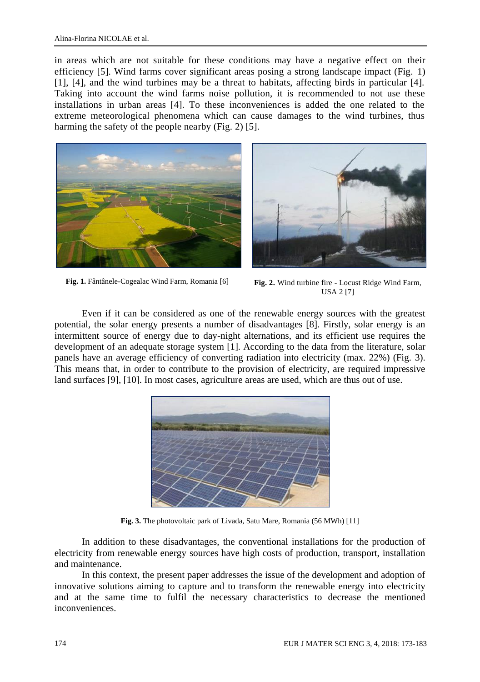in areas which are not suitable for these conditions may have a negative effect on their efficiency [5]. Wind farms cover significant areas posing a strong landscape impact (Fig. 1) [1], [4], and the wind turbines may be a threat to habitats, affecting birds in particular [4]. Taking into account the wind farms noise pollution, it is recommended to not use these installations in urban areas [4]. To these inconveniences is added the one related to the extreme meteorological phenomena which can cause damages to the wind turbines, thus harming the safety of the people nearby (Fig. 2) [5].





**Fig. 1.** Fântânele-Cogealac Wind Farm, Romania [6] **Fig. 2.** Wind turbine fire - Locust Ridge Wind Farm, USA 2 [7]

Even if it can be considered as one of the renewable energy sources with the greatest potential, the solar energy presents a number of disadvantages [8]. Firstly, solar energy is an intermittent source of energy due to day-night alternations, and its efficient use requires the development of an adequate storage system [1]. According to the data from the literature, solar panels have an average efficiency of converting radiation into electricity (max. 22%) (Fig. 3). This means that, in order to contribute to the provision of electricity, are required impressive land surfaces [9], [10]. In most cases, agriculture areas are used, which are thus out of use.



**Fig. 3.** The photovoltaic park of Livada, Satu Mare, Romania (56 MWh) [11]

In addition to these disadvantages, the conventional installations for the production of electricity from renewable energy sources have high costs of production, transport, installation and maintenance.

In this context, the present paper addresses the issue of the development and adoption of innovative solutions aiming to capture and to transform the renewable energy into electricity and at the same time to fulfil the necessary characteristics to decrease the mentioned inconveniences.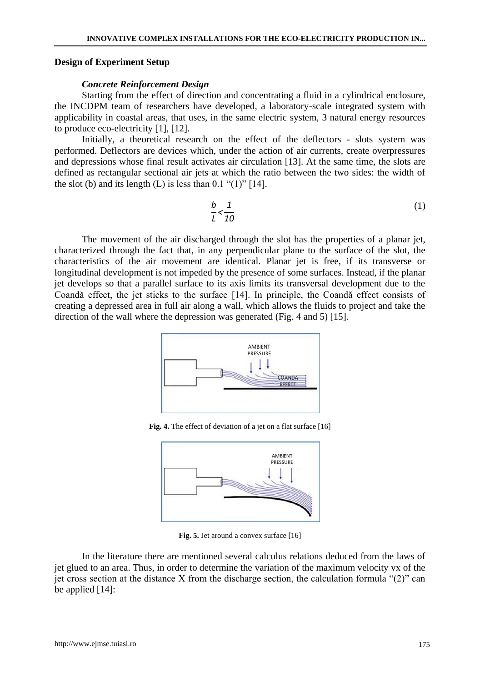#### **Design of Experiment Setup**

#### *Concrete Reinforcement Design*

Starting from the effect of direction and concentrating a fluid in a cylindrical enclosure, the INCDPM team of researchers have developed, a laboratory-scale integrated system with applicability in coastal areas, that uses, in the same electric system, 3 natural energy resources to produce eco-electricity [1], [12].

Initially, a theoretical research on the effect of the deflectors - slots system was performed. Deflectors are devices which, under the action of air currents, create overpressures and depressions whose final result activates air circulation [13]. At the same time, the slots are defined as rectangular sectional air jets at which the ratio between the two sides: the width of the slot (b) and its length  $(L)$  is less than  $(0.1 \text{``}(1)\text{''}[14])$ .

$$
\frac{b}{L} < \frac{1}{10}
$$
 (1)

The movement of the air discharged through the slot has the properties of a planar jet, characterized through the fact that, in any perpendicular plane to the surface of the slot, the characteristics of the air movement are identical. Planar jet is free, if its transverse or longitudinal development is not impeded by the presence of some surfaces. Instead, if the planar jet develops so that a parallel surface to its axis limits its transversal development due to the Coandă effect, the jet sticks to the surface [14]. In principle, the Coandă effect consists of creating a depressed area in full air along a wall, which allows the fluids to project and take the direction of the wall where the depression was generated (Fig. 4 and 5) [15].



**Fig. 4.** The effect of deviation of a jet on a flat surface [16]



Fig. 5. Jet around a convex surface [16]

In the literature there are mentioned several calculus relations deduced from the laws of jet glued to an area. Thus, in order to determine the variation of the maximum velocity vx of the jet cross section at the distance X from the discharge section, the calculation formula "(2)" can be applied [14]: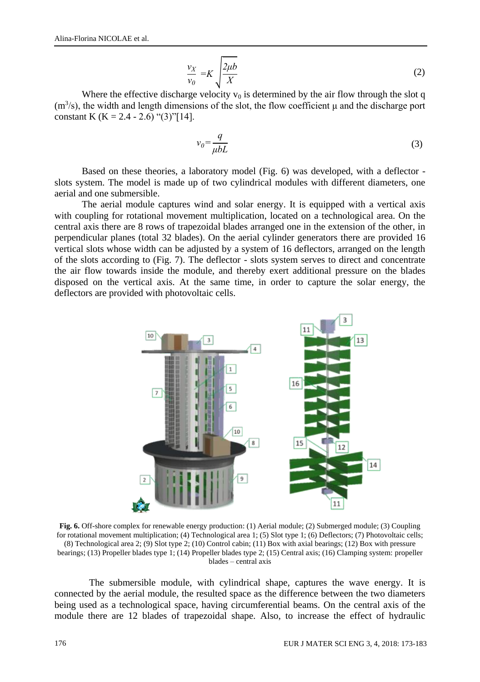$$
\frac{v_X}{v_0} = K \sqrt{\frac{2\mu b}{X}}
$$
 (2)

Where the effective discharge velocity  $v_0$  is determined by the air flow through the slot q  $(m<sup>3</sup>/s)$ , the width and length dimensions of the slot, the flow coefficient  $\mu$  and the discharge port constant K (K = 2.4 - 2.6) "(3)"[14].

$$
v_0 = \frac{q}{\mu bL} \tag{3}
$$

Based on these theories, a laboratory model (Fig. 6) was developed, with a deflector slots system. The model is made up of two cylindrical modules with different diameters, one aerial and one submersible.

The aerial module captures wind and solar energy. It is equipped with a vertical axis with coupling for rotational movement multiplication, located on a technological area. On the central axis there are 8 rows of trapezoidal blades arranged one in the extension of the other, in perpendicular planes (total 32 blades). On the aerial cylinder generators there are provided 16 vertical slots whose width can be adjusted by a system of 16 deflectors, arranged on the length of the slots according to (Fig. 7). The deflector - slots system serves to direct and concentrate the air flow towards inside the module, and thereby exert additional pressure on the blades disposed on the vertical axis. At the same time, in order to capture the solar energy, the deflectors are provided with photovoltaic cells.



**Fig. 6.** Off-shore complex for renewable energy production: (1) Aerial module; (2) Submerged module; (3) Coupling for rotational movement multiplication; (4) Technological area 1; (5) Slot type 1; (6) Deflectors; (7) Photovoltaic cells; (8) Technological area 2; (9) Slot type 2; (10) Control cabin; (11) Box with axial bearings; (12) Box with pressure bearings; (13) Propeller blades type 1; (14) Propeller blades type 2; (15) Central axis; (16) Clamping system: propeller blades – central axis

The submersible module, with cylindrical shape, captures the wave energy. It is connected by the aerial module, the resulted space as the difference between the two diameters being used as a technological space, having circumferential beams. On the central axis of the module there are 12 blades of trapezoidal shape. Also, to increase the effect of hydraulic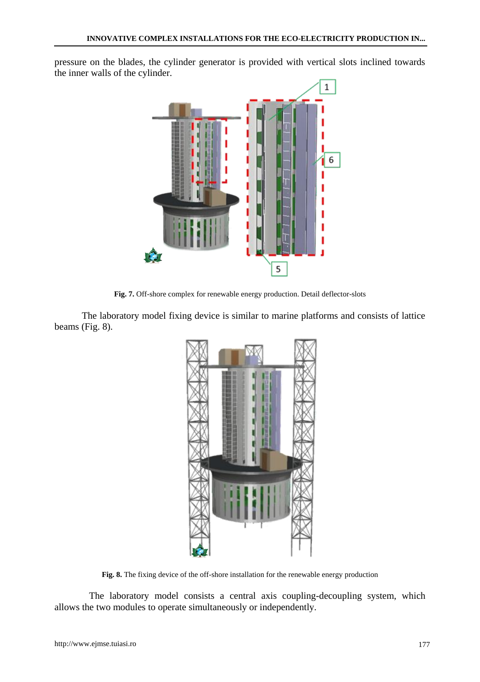pressure on the blades, the cylinder generator is provided with vertical slots inclined towards the inner walls of the cylinder.



**Fig. 7.** Off-shore complex for renewable energy production. Detail deflector-slots

The laboratory model fixing device is similar to marine platforms and consists of lattice beams (Fig. 8).



**Fig. 8.** The fixing device of the off-shore installation for the renewable energy production

The laboratory model consists a central axis coupling-decoupling system, which allows the two modules to operate simultaneously or independently.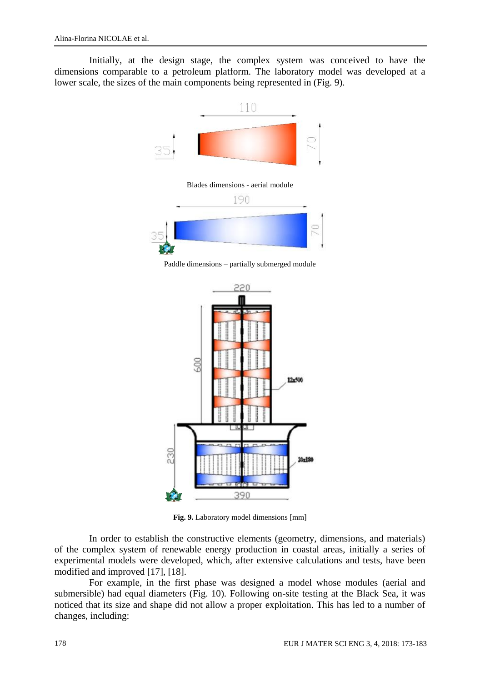Initially, at the design stage, the complex system was conceived to have the dimensions comparable to a petroleum platform. The laboratory model was developed at a lower scale, the sizes of the main components being represented in (Fig. 9).



Paddle dimensions – partially submerged module



**Fig. 9.** Laboratory model dimensions [mm]

In order to establish the constructive elements (geometry, dimensions, and materials) of the complex system of renewable energy production in coastal areas, initially a series of experimental models were developed, which, after extensive calculations and tests, have been modified and improved [17], [18].

For example, in the first phase was designed a model whose modules (aerial and submersible) had equal diameters (Fig. 10). Following on-site testing at the Black Sea, it was noticed that its size and shape did not allow a proper exploitation. This has led to a number of changes, including: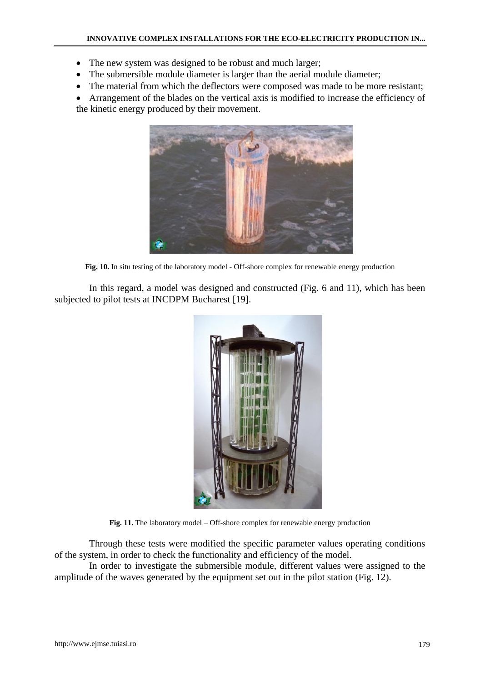- The new system was designed to be robust and much larger;
- The submersible module diameter is larger than the aerial module diameter;
- The material from which the deflectors were composed was made to be more resistant;

• Arrangement of the blades on the vertical axis is modified to increase the efficiency of the kinetic energy produced by their movement.



**Fig. 10.** In situ testing of the laboratory model - Off-shore complex for renewable energy production

In this regard, a model was designed and constructed (Fig. 6 and 11), which has been subjected to pilot tests at INCDPM Bucharest [19].



**Fig. 11.** The laboratory model – Off-shore complex for renewable energy production

Through these tests were modified the specific parameter values operating conditions of the system, in order to check the functionality and efficiency of the model.

In order to investigate the submersible module, different values were assigned to the amplitude of the waves generated by the equipment set out in the pilot station (Fig. 12).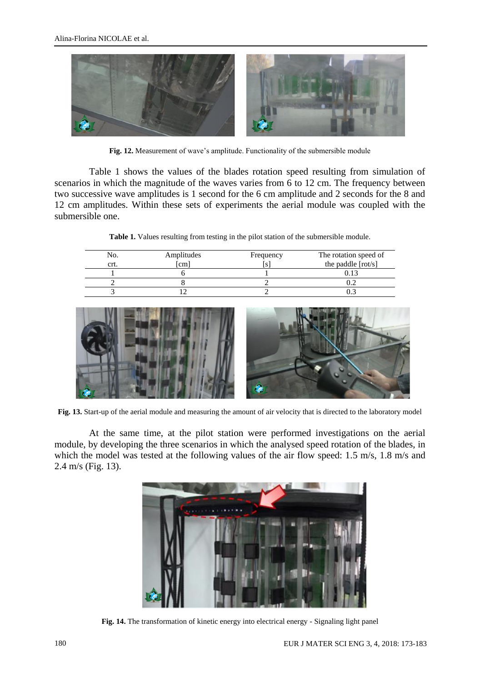

**Fig. 12.** Measurement of wave's amplitude. Functionality of the submersible module

Table 1 shows the values of the blades rotation speed resulting from simulation of scenarios in which the magnitude of the waves varies from 6 to 12 cm. The frequency between two successive wave amplitudes is 1 second for the 6 cm amplitude and 2 seconds for the 8 and 12 cm amplitudes. Within these sets of experiments the aerial module was coupled with the submersible one.

**Table 1.** Values resulting from testing in the pilot station of the submersible module.

| No<br>crt | Amplitudes<br>[cm] | Frequency | The rotation speed of<br>the paddle [rot/s] |
|-----------|--------------------|-----------|---------------------------------------------|
|           |                    |           |                                             |
|           |                    |           | ∪.∠                                         |
|           |                    |           |                                             |
|           |                    |           |                                             |



**Fig. 13.** Start-up of the aerial module and measuring the amount of air velocity that is directed to the laboratory model

At the same time, at the pilot station were performed investigations on the aerial module, by developing the three scenarios in which the analysed speed rotation of the blades, in which the model was tested at the following values of the air flow speed: 1.5 m/s, 1.8 m/s and 2.4 m/s (Fig. 13).



**Fig. 14.** The transformation of kinetic energy into electrical energy - Signaling light panel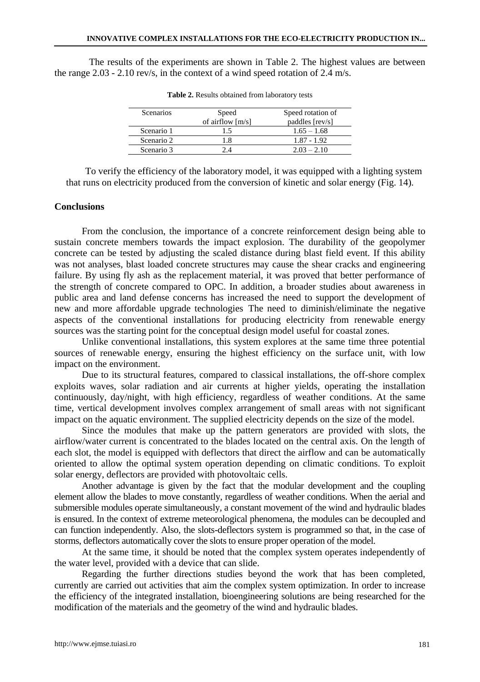The results of the experiments are shown in Table 2. The highest values are between the range 2.03 - 2.10 rev/s, in the context of a wind speed rotation of 2.4 m/s.

| <b>Scenarios</b> | Speed              | Speed rotation of |
|------------------|--------------------|-------------------|
|                  | of airflow $[m/s]$ | paddles [rev/s]   |
| Scenario 1       | 15                 | $1.65 - 1.68$     |
| Scenario 2       | 1.8                | $1.87 - 1.92$     |
| Scenario 3       | 74                 | $2.03 - 2.10$     |

**Table 2.** Results obtained from laboratory tests

To verify the efficiency of the laboratory model, it was equipped with a lighting system that runs on electricity produced from the conversion of kinetic and solar energy (Fig. 14).

#### **Conclusions**

From the conclusion, the importance of a concrete reinforcement design being able to sustain concrete members towards the impact explosion. The durability of the geopolymer concrete can be tested by adjusting the scaled distance during blast field event. If this ability was not analyses, blast loaded concrete structures may cause the shear cracks and engineering failure. By using fly ash as the replacement material, it was proved that better performance of the strength of concrete compared to OPC. In addition, a broader studies about awareness in public area and land defense concerns has increased the need to support the development of new and more affordable upgrade technologies The need to diminish/eliminate the negative aspects of the conventional installations for producing electricity from renewable energy sources was the starting point for the conceptual design model useful for coastal zones.

Unlike conventional installations, this system explores at the same time three potential sources of renewable energy, ensuring the highest efficiency on the surface unit, with low impact on the environment.

Due to its structural features, compared to classical installations, the off-shore complex exploits waves, solar radiation and air currents at higher yields, operating the installation continuously, day/night, with high efficiency, regardless of weather conditions. At the same time, vertical development involves complex arrangement of small areas with not significant impact on the aquatic environment. The supplied electricity depends on the size of the model.

Since the modules that make up the pattern generators are provided with slots, the airflow/water current is concentrated to the blades located on the central axis. On the length of each slot, the model is equipped with deflectors that direct the airflow and can be automatically oriented to allow the optimal system operation depending on climatic conditions. To exploit solar energy, deflectors are provided with photovoltaic cells.

Another advantage is given by the fact that the modular development and the coupling element allow the blades to move constantly, regardless of weather conditions. When the aerial and submersible modules operate simultaneously, a constant movement of the wind and hydraulic blades is ensured. In the context of extreme meteorological phenomena, the modules can be decoupled and can function independently. Also, the slots-deflectors system is programmed so that, in the case of storms, deflectors automatically cover the slots to ensure proper operation of the model.

At the same time, it should be noted that the complex system operates independently of the water level, provided with a device that can slide.

Regarding the further directions studies beyond the work that has been completed, currently are carried out activities that aim the complex system optimization. In order to increase the efficiency of the integrated installation, bioengineering solutions are being researched for the modification of the materials and the geometry of the wind and hydraulic blades.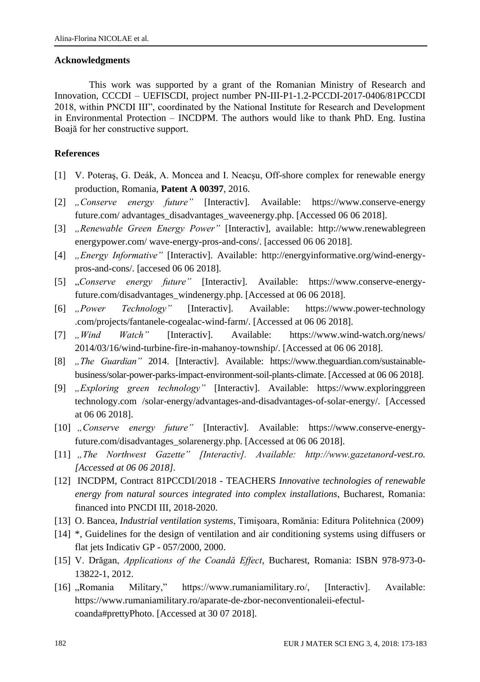### **Acknowledgments**

This work was supported by a grant of the Romanian Ministry of Research and Innovation, CCCDI – UEFISCDI, project number PN-III-P1-1.2-PCCDI-2017-0406/81PCCDI 2018, within PNCDI III", coordinated by the National Institute for Research and Development in Environmental Protection – INCDPM. The authors would like to thank PhD. Eng. Iustina Boajă for her constructive support.

## **References**

- [1] V. Poteraş, G. Deák, A. Moncea and I. Neacşu, Off-shore complex for renewable energy production, Romania, **Patent A 00397**, 2016.
- [2] *"Conserve energy future"* [Interactiv]. Available: [https://www.conserve-energy](https://www.conserve-energy/) future.com/ advantages\_disadvantages\_waveenergy.php. [Accessed 06 06 2018].
- [3] *"Renewable Green Energy Power"* [Interactiv], available: [http://www.renewablegreen](http://www.renewablegreen/) energypower.com/ wave-energy-pros-and-cons/. [accessed 06 06 2018].
- [4] *"Energy Informative"* [Interactiv]. Available: http://energyinformative.org/wind-energypros-and-cons/. [accesed 06 06 2018].
- [5] "*Conserve energy future"* [Interactiv]. Available: https://www.conserve-energyfuture.com/disadvantages\_windenergy.php. [Accessed at 06 06 2018].
- [6] *"Power Technology"* [Interactiv]. Available: [https://www.power-technology](https://www.power-technology/) .com/projects/fantanele-cogealac-wind-farm/. [Accessed at 06 06 2018].
- [7] *"Wind Watch"* [Interactiv]. Available: <https://www.wind-watch.org/news/> 2014/03/16/wind-turbine-fire-in-mahanoy-township/. [Accessed at 06 06 2018].
- [8] *"The Guardian"* 2014. [Interactiv]. Available: https://www.theguardian.com/sustainablebusiness/solar-power-parks-impact-environment-soil-plants-climate. [Accessed at 06 06 2018].
- [9] *"Exploring green technology"* [Interactiv]. Available: https://www.exploringgreen technology.com /solar-energy/advantages-and-disadvantages-of-solar-energy/. [Accessed at 06 06 2018].
- [10] *"Conserve energy future"* [Interactiv]. Available: https://www.conserve-energyfuture.com/disadvantages\_solarenergy.php. [Accessed at 06 06 2018].
- [11] *"The Northwest Gazette" [Interactiv]. Available: http://www.gazetanord-vest.ro. [Accessed at 06 06 2018].*
- [12] INCDPM, Contract 81PCCDI/2018 TEACHERS *Innovative technologies of renewable energy from natural sources integrated into complex installations*, Bucharest, Romania: financed into PNCDI III, 2018-2020.
- [13] O. Bancea, *Industrial ventilation systems*, Timişoara, Romănia: Editura Politehnica (2009)
- [14] \*, Guidelines for the design of ventilation and air conditioning systems using diffusers or flat jets Indicativ GP - 057/2000, 2000.
- [15] V. Drăgan, *Applications of the Coandă Effect*, Bucharest, Romania: ISBN 978-973-0- 13822-1, 2012.
- [16] "Romania Military," https://www.rumaniamilitary.ro/, [Interactiv]. Available: https://www.rumaniamilitary.ro/aparate-de-zbor-neconventionaleii-efectulcoanda#prettyPhoto. [Accessed at 30 07 2018].